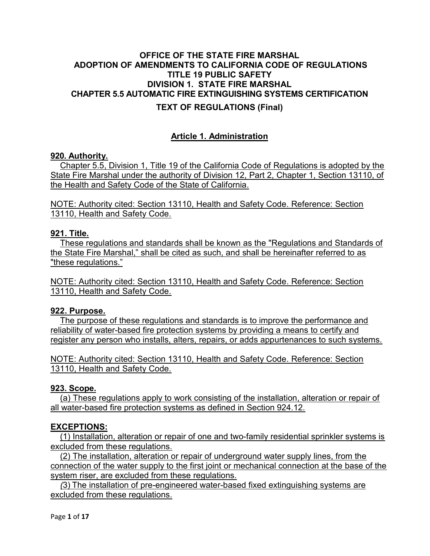## OFFICE OF THE STATE FIRE MARSHAL ADOPTION OF AMENDMENTS TO CALIFORNIA CODE OF REGULATIONS TITLE 19 PUBLIC SAFETY DIVISION 1. STATE FIRE MARSHAL CHAPTER 5.5 AUTOMATIC FIRE EXTINGUISHING SYSTEMS CERTIFICATION

## TEXT OF REGULATIONS (Final)

## Article 1. Administration

#### 920. Authority.

Chapter 5.5, Division 1, Title 19 of the California Code of Regulations is adopted by the State Fire Marshal under the authority of Division 12, Part 2, Chapter 1, Section 13110, of the Health and Safety Code of the State of California.

NOTE: Authority cited: Section 13110, Health and Safety Code. Reference: Section 13110, Health and Safety Code.

#### 921. Title.

These regulations and standards shall be known as the "Regulations and Standards of the State Fire Marshal," shall be cited as such, and shall be hereinafter referred to as "these regulations."

NOTE: Authority cited: Section 13110, Health and Safety Code. Reference: Section 13110, Health and Safety Code.

#### 922. Purpose.

The purpose of these regulations and standards is to improve the performance and reliability of water-based fire protection systems by providing a means to certify and register any person who installs, alters, repairs, or adds appurtenances to such systems.

NOTE: Authority cited: Section 13110, Health and Safety Code. Reference: Section 13110, Health and Safety Code.

#### 923. Scope.

(a) These regulations apply to work consisting of the installation, alteration or repair of all water-based fire protection systems as defined in Section 924.12.

## EXCEPTIONS:

(1) Installation, alteration or repair of one and two-family residential sprinkler systems is excluded from these regulations.

(2) The installation, alteration or repair of underground water supply lines, from the connection of the water supply to the first joint or mechanical connection at the base of the system riser, are excluded from these regulations.

(3) The installation of pre-engineered water-based fixed extinguishing systems are excluded from these regulations.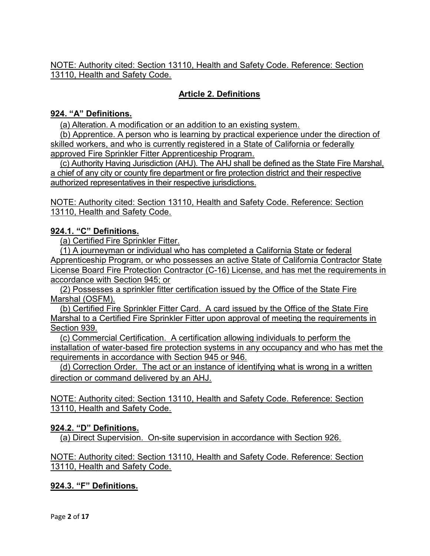# Article 2. Definitions

### 924. "A" Definitions.

(a) Alteration. A modification or an addition to an existing system.

(b) Apprentice. A person who is learning by practical experience under the direction of skilled workers, and who is currently registered in a State of California or federally approved Fire Sprinkler Fitter Apprenticeship Program.

(c) Authority Having Jurisdiction (AHJ). The AHJ shall be defined as the State Fire Marshal, a chief of any city or county fire department or fire protection district and their respective authorized representatives in their respective jurisdictions.

NOTE: Authority cited: Section 13110, Health and Safety Code. Reference: Section 13110, Health and Safety Code.

### 924.1. "C" Definitions.

(a) Certified Fire Sprinkler Fitter.

(1) A journeyman or individual who has completed a California State or federal Apprenticeship Program, or who possesses an active State of California Contractor State License Board Fire Protection Contractor (C-16) License, and has met the requirements in accordance with Section 945; or

(2) Possesses a sprinkler fitter certification issued by the Office of the State Fire Marshal (OSFM).

(b) Certified Fire Sprinkler Fitter Card. A card issued by the Office of the State Fire Marshal to a Certified Fire Sprinkler Fitter upon approval of meeting the requirements in Section 939.

(c) Commercial Certification. A certification allowing individuals to perform the installation of water-based fire protection systems in any occupancy and who has met the requirements in accordance with Section 945 or 946.

(d) Correction Order. The act or an instance of identifying what is wrong in a written direction or command delivered by an AHJ.

NOTE: Authority cited: Section 13110, Health and Safety Code. Reference: Section 13110, Health and Safety Code.

## 924.2. "D" Definitions.

(a) Direct Supervision. On-site supervision in accordance with Section 926.

### NOTE: Authority cited: Section 13110, Health and Safety Code. Reference: Section 13110, Health and Safety Code.

## 924.3. "F" Definitions.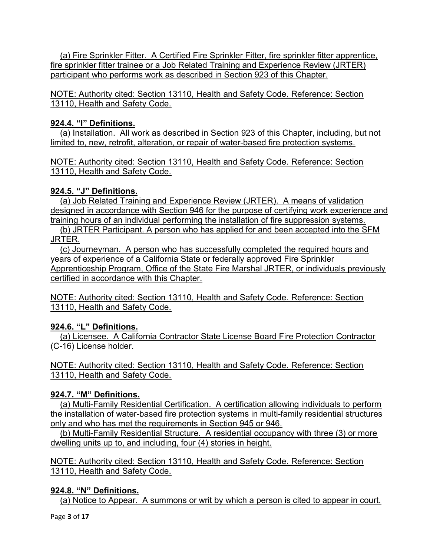(a) Fire Sprinkler Fitter. A Certified Fire Sprinkler Fitter, fire sprinkler fitter apprentice, fire sprinkler fitter trainee or a Job Related Training and Experience Review (JRTER) participant who performs work as described in Section 923 of this Chapter.

NOTE: Authority cited: Section 13110, Health and Safety Code. Reference: Section 13110, Health and Safety Code.

## 924.4. "I" Definitions.

(a) Installation. All work as described in Section 923 of this Chapter, including, but not limited to, new, retrofit, alteration, or repair of water-based fire protection systems.

NOTE: Authority cited: Section 13110, Health and Safety Code. Reference: Section 13110, Health and Safety Code.

## 924.5. "J" Definitions.

(a) Job Related Training and Experience Review (JRTER). A means of validation designed in accordance with Section 946 for the purpose of certifying work experience and training hours of an individual performing the installation of fire suppression systems.

(b) JRTER Participant. A person who has applied for and been accepted into the SFM JRTER.

(c) Journeyman. A person who has successfully completed the required hours and years of experience of a California State or federally approved Fire Sprinkler Apprenticeship Program, Office of the State Fire Marshal JRTER, or individuals previously certified in accordance with this Chapter.

NOTE: Authority cited: Section 13110, Health and Safety Code. Reference: Section 13110, Health and Safety Code.

# 924.6. "L" Definitions.

(a) Licensee. A California Contractor State License Board Fire Protection Contractor (C-16) License holder.

NOTE: Authority cited: Section 13110, Health and Safety Code. Reference: Section 13110, Health and Safety Code.

## 924.7. "M" Definitions.

(a) Multi-Family Residential Certification. A certification allowing individuals to perform the installation of water-based fire protection systems in multi-family residential structures only and who has met the requirements in Section 945 or 946.

(b) Multi-Family Residential Structure. A residential occupancy with three (3) or more dwelling units up to, and including, four (4) stories in height.

NOTE: Authority cited: Section 13110, Health and Safety Code. Reference: Section 13110, Health and Safety Code.

# 924.8. "N" Definitions.

(a) Notice to Appear. A summons or writ by which a person is cited to appear in court.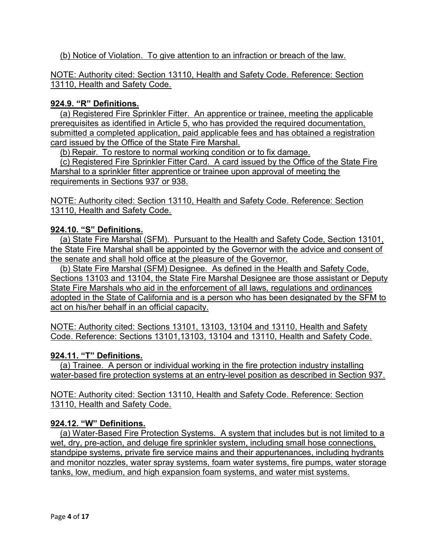### (b) Notice of Violation. To give attention to an infraction or breach of the law.

#### NOTE: Authority cited: Section 13110, Health and Safety Code. Reference: Section 13110, Health and Safety Code.

#### 924.9. "R" Definitions.

(a) Registered Fire Sprinkler Fitter. An apprentice or trainee, meeting the applicable prerequisites as identified in Article 5, who has provided the required documentation, submitted a completed application, paid applicable fees and has obtained a registration card issued by the Office of the State Fire Marshal.

(b) Repair. To restore to normal working condition or to fix damage.

(c) Registered Fire Sprinkler Fitter Card. A card issued by the Office of the State Fire Marshal to a sprinkler fitter apprentice or trainee upon approval of meeting the requirements in Sections 937 or 938.

NOTE: Authority cited: Section 13110, Health and Safety Code. Reference: Section 13110, Health and Safety Code.

### 924.10. "S" Definitions.

(a) State Fire Marshal (SFM). Pursuant to the Health and Safety Code, Section 13101, the State Fire Marshal shall be appointed by the Governor with the advice and consent of the senate and shall hold office at the pleasure of the Governor.

(b) State Fire Marshal (SFM) Designee. As defined in the Health and Safety Code, Sections 13103 and 13104, the State Fire Marshal Designee are those assistant or Deputy State Fire Marshals who aid in the enforcement of all laws, regulations and ordinances adopted in the State of California and is a person who has been designated by the SFM to act on his/her behalf in an official capacity.

NOTE: Authority cited: Sections 13101, 13103, 13104 and 13110, Health and Safety Code. Reference: Sections 13101,13103, 13104 and 13110, Health and Safety Code.

## 924.11. "T" Definitions.

(a) Trainee. A person or individual working in the fire protection industry installing water-based fire protection systems at an entry-level position as described in Section 937.

NOTE: Authority cited: Section 13110, Health and Safety Code. Reference: Section 13110, Health and Safety Code.

#### 924.12. "W" Definitions.

(a) Water-Based Fire Protection Systems. A system that includes but is not limited to a wet, dry, pre-action, and deluge fire sprinkler system, including small hose connections, standpipe systems, private fire service mains and their appurtenances, including hydrants and monitor nozzles, water spray systems, foam water systems, fire pumps, water storage tanks, low, medium, and high expansion foam systems, and water mist systems.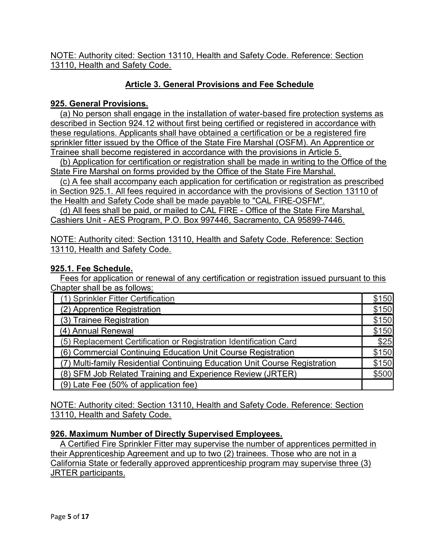# Article 3. General Provisions and Fee Schedule

### 925. General Provisions.

(a) No person shall engage in the installation of water-based fire protection systems as described in Section 924.12 without first being certified or registered in accordance with these regulations. Applicants shall have obtained a certification or be a registered fire sprinkler fitter issued by the Office of the State Fire Marshal (OSFM). An Apprentice or Trainee shall become registered in accordance with the provisions in Article 5.

(b) Application for certification or registration shall be made in writing to the Office of the State Fire Marshal on forms provided by the Office of the State Fire Marshal.

(c) A fee shall accompany each application for certification or registration as prescribed in Section 925.1. All fees required in accordance with the provisions of Section 13110 of

the Health and Safety Code shall be made payable to "CAL FIRE-OSFM". (d) All fees shall be paid, or mailed to CAL FIRE - Office of the State Fire Marshal,

Cashiers Unit - AES Program, P.O. Box 997446, Sacramento, CA 95899-7446.

NOTE: Authority cited: Section 13110, Health and Safety Code. Reference: Section 13110, Health and Safety Code.

### 925.1. Fee Schedule.

Fees for application or renewal of any certification or registration issued pursuant to this Chapter shall be as follows:

| (1) Sprinkler Fitter Certification                                         | 150          |
|----------------------------------------------------------------------------|--------------|
| (2) Apprentice Registration                                                | <u>\$150</u> |
| (3) Trainee Registration                                                   | \$150        |
| (4) Annual Renewal                                                         | \$150        |
| (5) Replacement Certification or Registration Identification Card          | \$25         |
| (6) Commercial Continuing Education Unit Course Registration               | \$150        |
| (7) Multi-family Residential Continuing Education Unit Course Registration | :150         |
| (8) SFM Job Related Training and Experience Review (JRTER)                 | \$500        |
| (9) Late Fee (50% of application fee)                                      |              |

NOTE: Authority cited: Section 13110, Health and Safety Code. Reference: Section 13110, Health and Safety Code.

## 926. Maximum Number of Directly Supervised Employees.

A Certified Fire Sprinkler Fitter may supervise the number of apprentices permitted in their Apprenticeship Agreement and up to two (2) trainees. Those who are not in a California State or federally approved apprenticeship program may supervise three (3) JRTER participants.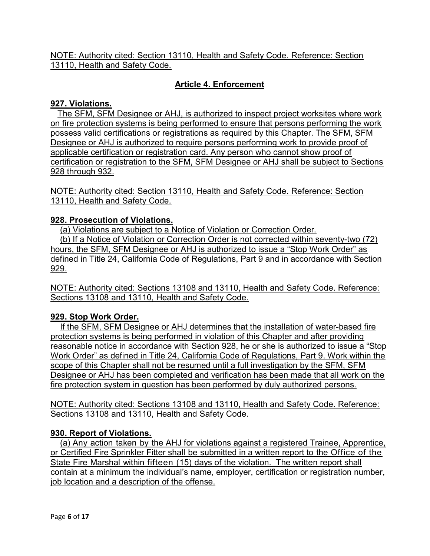# Article 4. Enforcement

### 927. Violations.

 The SFM, SFM Designee or AHJ, is authorized to inspect project worksites where work on fire protection systems is being performed to ensure that persons performing the work possess valid certifications or registrations as required by this Chapter. The SFM, SFM Designee or AHJ is authorized to require persons performing work to provide proof of applicable certification or registration card. Any person who cannot show proof of certification or registration to the SFM, SFM Designee or AHJ shall be subject to Sections 928 through 932.

NOTE: Authority cited: Section 13110, Health and Safety Code. Reference: Section 13110, Health and Safety Code.

### 928. Prosecution of Violations.

(a) Violations are subject to a Notice of Violation or Correction Order.

(b) If a Notice of Violation or Correction Order is not corrected within seventy-two (72) hours, the SFM, SFM Designee or AHJ is authorized to issue a "Stop Work Order" as defined in Title 24, California Code of Regulations, Part 9 and in accordance with Section 929.

NOTE: Authority cited: Sections 13108 and 13110, Health and Safety Code. Reference: Sections 13108 and 13110, Health and Safety Code.

## 929. Stop Work Order.

If the SFM, SFM Designee or AHJ determines that the installation of water-based fire protection systems is being performed in violation of this Chapter and after providing reasonable notice in accordance with Section 928, he or she is authorized to issue a "Stop Work Order" as defined in Title 24, California Code of Regulations, Part 9. Work within the scope of this Chapter shall not be resumed until a full investigation by the SFM, SFM Designee or AHJ has been completed and verification has been made that all work on the fire protection system in question has been performed by duly authorized persons.

NOTE: Authority cited: Sections 13108 and 13110, Health and Safety Code. Reference: Sections 13108 and 13110, Health and Safety Code.

## 930. Report of Violations.

(a) Any action taken by the AHJ for violations against a registered Trainee, Apprentice, or Certified Fire Sprinkler Fitter shall be submitted in a written report to the Office of the State Fire Marshal within fifteen (15) days of the violation. The written report shall contain at a minimum the individual's name, employer, certification or registration number, job location and a description of the offense.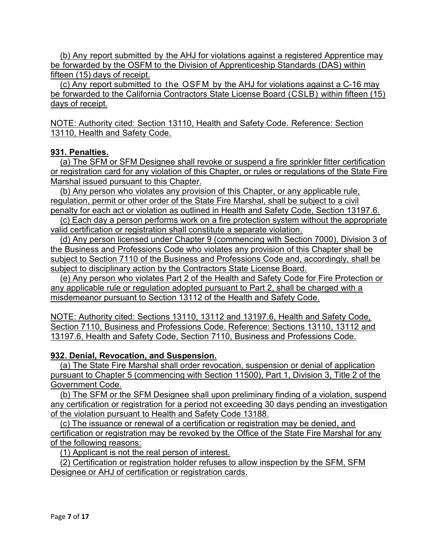(b) Any report submitted by the AHJ for violations against a registered Apprentice may be forwarded by the OSFM to the Division of Apprenticeship Standards (DAS) within fifteen (15) days of receipt.

(c) Any report submitted to the OSFM by the AHJ for violations against a C-16 may be forwarded to the California Contractors State License Board (CSLB) within fifteen (15) days of receipt.

NOTE: Authority cited: Section 13110, Health and Safety Code. Reference: Section 13110, Health and Safety Code.

### 931. Penalties.

(a) The SFM or SFM Designee shall revoke or suspend a fire sprinkler fitter certification or registration card for any violation of this Chapter, or rules or regulations of the State Fire Marshal issued pursuant to this Chapter.

(b) Any person who violates any provision of this Chapter, or any applicable rule, regulation, permit or other order of the State Fire Marshal, shall be subject to a civil penalty for each act or violation as outlined in Health and Safety Code, Section 13197.6.

(c) Each day a person performs work on a fire protection system without the appropriate valid certification or registration shall constitute a separate violation.

(d) Any person licensed under Chapter 9 (commencing with Section 7000), Division 3 of the Business and Professions Code who violates any provision of this Chapter shall be subject to Section 7110 of the Business and Professions Code and, accordingly, shall be subject to disciplinary action by the Contractors State License Board.

(e) Any person who violates Part 2 of the Health and Safety Code for Fire Protection or any applicable rule or regulation adopted pursuant to Part 2, shall be charged with a misdemeanor pursuant to Section 13112 of the Health and Safety Code.

NOTE: Authority cited: Sections 13110, 13112 and 13197.6, Health and Safety Code, Section 7110, Business and Professions Code. Reference: Sections 13110, 13112 and 13197.6, Health and Safety Code, Section 7110, Business and Professions Code.

## 932. Denial, Revocation, and Suspension.

(a) The State Fire Marshal shall order revocation, suspension or denial of application pursuant to Chapter 5 (commencing with Section 11500), Part 1, Division 3, Title 2 of the Government Code.

(b) The SFM or the SFM Designee shall upon preliminary finding of a violation, suspend any certification or registration for a period not exceeding 30 days pending an investigation of the violation pursuant to Health and Safety Code 13188.

(c) The issuance or renewal of a certification or registration may be denied, and certification or registration may be revoked by the Office of the State Fire Marshal for any of the following reasons:

(1) Applicant is not the real person of interest.

(2) Certification or registration holder refuses to allow inspection by the SFM, SFM Designee or AHJ of certification or registration cards.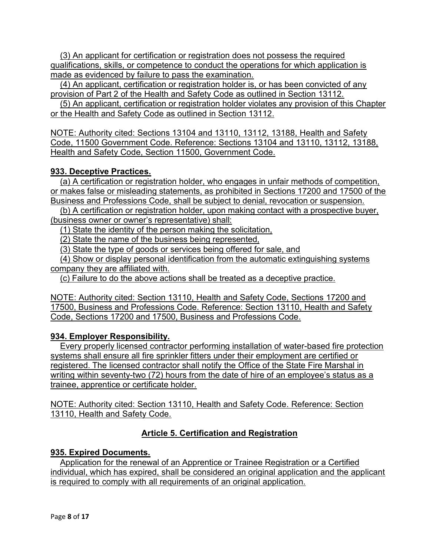(3) An applicant for certification or registration does not possess the required qualifications, skills, or competence to conduct the operations for which application is made as evidenced by failure to pass the examination.

(4) An applicant, certification or registration holder is, or has been convicted of any provision of Part 2 of the Health and Safety Code as outlined in Section 13112.

(5) An applicant, certification or registration holder violates any provision of this Chapter or the Health and Safety Code as outlined in Section 13112.

NOTE: Authority cited: Sections 13104 and 13110, 13112, 13188, Health and Safety Code, 11500 Government Code. Reference: Sections 13104 and 13110, 13112, 13188, Health and Safety Code, Section 11500, Government Code.

## 933. Deceptive Practices.

(a) A certification or registration holder, who engages in unfair methods of competition, or makes false or misleading statements, as prohibited in Sections 17200 and 17500 of the Business and Professions Code, shall be subject to denial, revocation or suspension.

(b) A certification or registration holder, upon making contact with a prospective buyer, (business owner or owner's representative) shall:

(1) State the identity of the person making the solicitation,

(2) State the name of the business being represented,

(3) State the type of goods or services being offered for sale, and

(4) Show or display personal identification from the automatic extinguishing systems company they are affiliated with.

(c) Failure to do the above actions shall be treated as a deceptive practice.

NOTE: Authority cited: Section 13110, Health and Safety Code, Sections 17200 and 17500, Business and Professions Code. Reference: Section 13110, Health and Safety Code, Sections 17200 and 17500, Business and Professions Code.

## 934. Employer Responsibility.

Every properly licensed contractor performing installation of water-based fire protection systems shall ensure all fire sprinkler fitters under their employment are certified or registered. The licensed contractor shall notify the Office of the State Fire Marshal in writing within seventy-two (72) hours from the date of hire of an employee's status as a trainee, apprentice or certificate holder.

NOTE: Authority cited: Section 13110, Health and Safety Code. Reference: Section 13110, Health and Safety Code.

# Article 5. Certification and Registration

## 935. Expired Documents.

Application for the renewal of an Apprentice or Trainee Registration or a Certified individual, which has expired, shall be considered an original application and the applicant is required to comply with all requirements of an original application.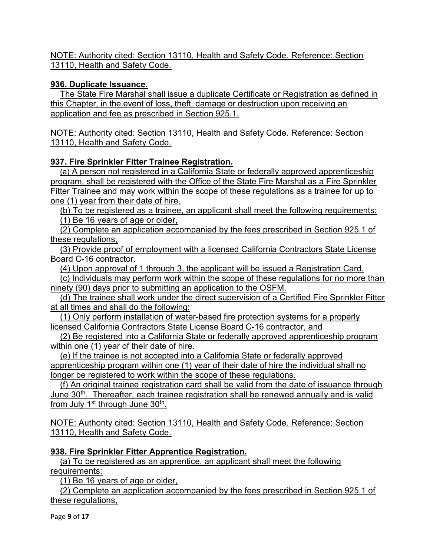## 936. Duplicate Issuance.

The State Fire Marshal shall issue a duplicate Certificate or Registration as defined in this Chapter, in the event of loss, theft, damage or destruction upon receiving an application and fee as prescribed in Section 925.1.

NOTE: Authority cited: Section 13110, Health and Safety Code. Reference: Section 13110, Health and Safety Code.

## 937. Fire Sprinkler Fitter Trainee Registration.

(a) A person not registered in a California State or federally approved apprenticeship program, shall be registered with the Office of the State Fire Marshal as a Fire Sprinkler Fitter Trainee and may work within the scope of these regulations as a trainee for up to one (1) year from their date of hire.

(b) To be registered as a trainee, an applicant shall meet the following requirements:

(1) Be 16 years of age or older,

(2) Complete an application accompanied by the fees prescribed in Section 925.1 of these regulations,

(3) Provide proof of employment with a licensed California Contractors State License Board C-16 contractor.

(4) Upon approval of 1 through 3, the applicant will be issued a Registration Card.

(c) Individuals may perform work within the scope of these regulations for no more than ninety (90) days prior to submitting an application to the OSFM.

(d) The trainee shall work under the direct supervision of a Certified Fire Sprinkler Fitter at all times and shall do the following:

(1) Only perform installation of water-based fire protection systems for a properly licensed California Contractors State License Board C-16 contractor, and

(2) Be registered into a California State or federally approved apprenticeship program within one (1) year of their date of hire.

(e) If the trainee is not accepted into a California State or federally approved apprenticeship program within one (1) year of their date of hire the individual shall no longer be registered to work within the scope of these regulations.

(f) An original trainee registration card shall be valid from the date of issuance through June 30<sup>th</sup>. Thereafter, each trainee registration shall be renewed annually and is valid from July 1<sup>st</sup> through June 30<sup>th</sup>.

NOTE: Authority cited: Section 13110, Health and Safety Code. Reference: Section 13110, Health and Safety Code.

## 938. Fire Sprinkler Fitter Apprentice Registration.

(a) To be registered as an apprentice, an applicant shall meet the following requirements:

(1) Be 16 years of age or older,

(2) Complete an application accompanied by the fees prescribed in Section 925.1 of these regulations,

Page 9 of 17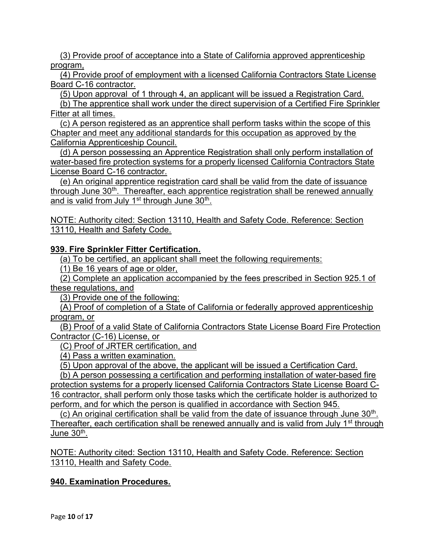(3) Provide proof of acceptance into a State of California approved apprenticeship program,

(4) Provide proof of employment with a licensed California Contractors State License Board C-16 contractor.

(5) Upon approval of 1 through 4, an applicant will be issued a Registration Card.

(b) The apprentice shall work under the direct supervision of a Certified Fire Sprinkler Fitter at all times.

(c) A person registered as an apprentice shall perform tasks within the scope of this Chapter and meet any additional standards for this occupation as approved by the California Apprenticeship Council.

(d) A person possessing an Apprentice Registration shall only perform installation of water-based fire protection systems for a properly licensed California Contractors State License Board C-16 contractor.

(e) An original apprentice registration card shall be valid from the date of issuance through June  $30<sup>th</sup>$ . Thereafter, each apprentice registration shall be renewed annually and is valid from July 1st through June 30<sup>th</sup>.

NOTE: Authority cited: Section 13110, Health and Safety Code. Reference: Section 13110, Health and Safety Code.

939. Fire Sprinkler Fitter Certification.

(a) To be certified, an applicant shall meet the following requirements:

(1) Be 16 years of age or older,

(2) Complete an application accompanied by the fees prescribed in Section 925.1 of these regulations, and

(3) Provide one of the following:

(A) Proof of completion of a State of California or federally approved apprenticeship program, or

(B) Proof of a valid State of California Contractors State License Board Fire Protection Contractor (C-16) License, or

(C) Proof of JRTER certification, and

(4) Pass a written examination.

(5) Upon approval of the above, the applicant will be issued a Certification Card.

(b) A person possessing a certification and performing installation of water-based fire protection systems for a properly licensed California Contractors State License Board C-16 contractor, shall perform only those tasks which the certificate holder is authorized to perform, and for which the person is qualified in accordance with Section 945.

(c) An original certification shall be valid from the date of issuance through June  $30<sup>th</sup>$ . Thereafter, each certification shall be renewed annually and is valid from July 1<sup>st</sup> through June 30<sup>th</sup>.

NOTE: Authority cited: Section 13110, Health and Safety Code. Reference: Section 13110, Health and Safety Code.

## 940. Examination Procedures.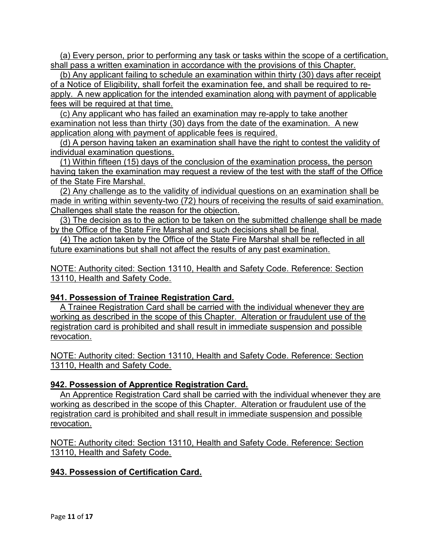(a) Every person, prior to performing any task or tasks within the scope of a certification, shall pass a written examination in accordance with the provisions of this Chapter.

(b) Any applicant failing to schedule an examination within thirty (30) days after receipt of a Notice of Eligibility, shall forfeit the examination fee, and shall be required to reapply. A new application for the intended examination along with payment of applicable fees will be required at that time.

(c) Any applicant who has failed an examination may re-apply to take another examination not less than thirty (30) days from the date of the examination. A new application along with payment of applicable fees is required.

(d) A person having taken an examination shall have the right to contest the validity of individual examination questions.

(1) Within fifteen (15) days of the conclusion of the examination process, the person having taken the examination may request a review of the test with the staff of the Office of the State Fire Marshal.

(2) Any challenge as to the validity of individual questions on an examination shall be made in writing within seventy-two (72) hours of receiving the results of said examination. Challenges shall state the reason for the objection.

(3) The decision as to the action to be taken on the submitted challenge shall be made by the Office of the State Fire Marshal and such decisions shall be final.

(4) The action taken by the Office of the State Fire Marshal shall be reflected in all future examinations but shall not affect the results of any past examination.

NOTE: Authority cited: Section 13110, Health and Safety Code. Reference: Section 13110, Health and Safety Code.

## 941. Possession of Trainee Registration Card.

A Trainee Registration Card shall be carried with the individual whenever they are working as described in the scope of this Chapter. Alteration or fraudulent use of the registration card is prohibited and shall result in immediate suspension and possible revocation.

NOTE: Authority cited: Section 13110, Health and Safety Code. Reference: Section 13110, Health and Safety Code.

## 942. Possession of Apprentice Registration Card.

An Apprentice Registration Card shall be carried with the individual whenever they are working as described in the scope of this Chapter. Alteration or fraudulent use of the registration card is prohibited and shall result in immediate suspension and possible revocation.

NOTE: Authority cited: Section 13110, Health and Safety Code. Reference: Section 13110, Health and Safety Code.

## 943. Possession of Certification Card.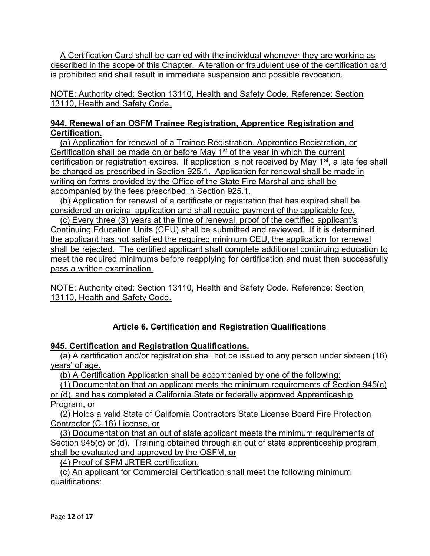A Certification Card shall be carried with the individual whenever they are working as described in the scope of this Chapter. Alteration or fraudulent use of the certification card is prohibited and shall result in immediate suspension and possible revocation.

NOTE: Authority cited: Section 13110, Health and Safety Code. Reference: Section 13110, Health and Safety Code.

## 944. Renewal of an OSFM Trainee Registration, Apprentice Registration and Certification.

(a) Application for renewal of a Trainee Registration, Apprentice Registration, or Certification shall be made on or before May  $1<sup>st</sup>$  of the year in which the current certification or registration expires. If application is not received by May 1<sup>st</sup>, a late fee shall be charged as prescribed in Section 925.1. Application for renewal shall be made in writing on forms provided by the Office of the State Fire Marshal and shall be accompanied by the fees prescribed in Section 925.1.

(b) Application for renewal of a certificate or registration that has expired shall be considered an original application and shall require payment of the applicable fee.

(c) Every three (3) years at the time of renewal, proof of the certified applicant's Continuing Education Units (CEU) shall be submitted and reviewed. If it is determined the applicant has not satisfied the required minimum CEU, the application for renewal shall be rejected. The certified applicant shall complete additional continuing education to meet the required minimums before reapplying for certification and must then successfully pass a written examination.

NOTE: Authority cited: Section 13110, Health and Safety Code. Reference: Section 13110, Health and Safety Code.

# Article 6. Certification and Registration Qualifications

## 945. Certification and Registration Qualifications.

(a) A certification and/or registration shall not be issued to any person under sixteen (16) years' of age.

(b) A Certification Application shall be accompanied by one of the following:

(1) Documentation that an applicant meets the minimum requirements of Section 945(c)

or (d), and has completed a California State or federally approved Apprenticeship Program, or

(2) Holds a valid State of California Contractors State License Board Fire Protection Contractor (C-16) License, or

(3) Documentation that an out of state applicant meets the minimum requirements of Section 945(c) or (d). Training obtained through an out of state apprenticeship program shall be evaluated and approved by the OSFM, or

(4) Proof of SFM JRTER certification.

(c) An applicant for Commercial Certification shall meet the following minimum qualifications: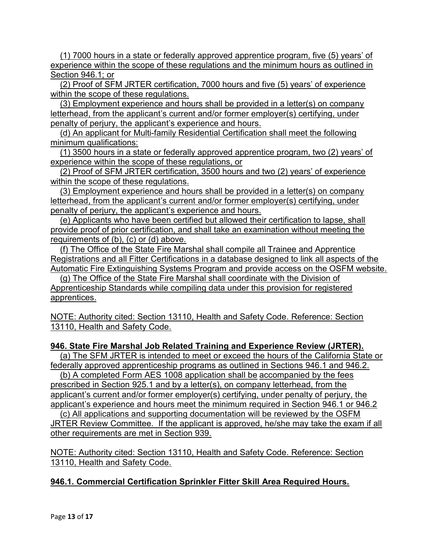(1) 7000 hours in a state or federally approved apprentice program, five (5) years' of experience within the scope of these regulations and the minimum hours as outlined in Section 946.1; or

(2) Proof of SFM JRTER certification, 7000 hours and five (5) years' of experience within the scope of these regulations.

(3) Employment experience and hours shall be provided in a letter(s) on company letterhead, from the applicant's current and/or former employer(s) certifying, under penalty of perjury, the applicant's experience and hours.

(d) An applicant for Multi-family Residential Certification shall meet the following minimum qualifications:

(1) 3500 hours in a state or federally approved apprentice program, two (2) years' of experience within the scope of these regulations, or

(2) Proof of SFM JRTER certification, 3500 hours and two (2) years' of experience within the scope of these regulations.

(3) Employment experience and hours shall be provided in a letter(s) on company letterhead, from the applicant's current and/or former employer(s) certifying, under penalty of perjury, the applicant's experience and hours.

(e) Applicants who have been certified but allowed their certification to lapse, shall provide proof of prior certification, and shall take an examination without meeting the requirements of (b), (c) or (d) above.

(f) The Office of the State Fire Marshal shall compile all Trainee and Apprentice Registrations and all Fitter Certifications in a database designed to link all aspects of the Automatic Fire Extinguishing Systems Program and provide access on the OSFM website.

(g) The Office of the State Fire Marshal shall coordinate with the Division of Apprenticeship Standards while compiling data under this provision for registered apprentices.

NOTE: Authority cited: Section 13110, Health and Safety Code. Reference: Section 13110, Health and Safety Code.

## 946. State Fire Marshal Job Related Training and Experience Review (JRTER).

(a) The SFM JRTER is intended to meet or exceed the hours of the California State or federally approved apprenticeship programs as outlined in Sections 946.1 and 946.2.

(b) A completed Form AES 1008 application shall be accompanied by the fees prescribed in Section 925.1 and by a letter(s), on company letterhead, from the applicant's current and/or former employer(s) certifying, under penalty of perjury, the applicant's experience and hours meet the minimum required in Section 946.1 or 946.2

(c) All applications and supporting documentation will be reviewed by the OSFM JRTER Review Committee. If the applicant is approved, he/she may take the exam if all other requirements are met in Section 939.

NOTE: Authority cited: Section 13110, Health and Safety Code. Reference: Section 13110, Health and Safety Code.

## 946.1. Commercial Certification Sprinkler Fitter Skill Area Required Hours.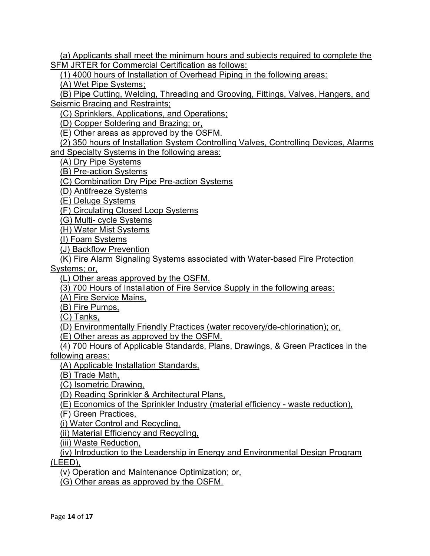(a) Applicants shall meet the minimum hours and subjects required to complete the SFM JRTER for Commercial Certification as follows:

(1) 4000 hours of Installation of Overhead Piping in the following areas:

(A) Wet Pipe Systems;

(B) Pipe Cutting, Welding, Threading and Grooving, Fittings, Valves, Hangers, and **Seismic Bracing and Restraints;** 

(C) Sprinklers, Applications, and Operations;

(D) Copper Soldering and Brazing; or,

(E) Other areas as approved by the OSFM.

(2) 350 hours of Installation System Controlling Valves, Controlling Devices, Alarms and Specialty Systems in the following areas:

(A) Dry Pipe Systems

(B) Pre-action Systems

(C) Combination Dry Pipe Pre-action Systems

(D) Antifreeze Systems

(E) Deluge Systems

(F) Circulating Closed Loop Systems

(G) Multi- cycle Systems

(H) Water Mist Systems

(I) Foam Systems

(J) Backflow Prevention

(K) Fire Alarm Signaling Systems associated with Water-based Fire Protection

Systems; or,

(L) Other areas approved by the OSFM.

(3) 700 Hours of Installation of Fire Service Supply in the following areas:

(A) Fire Service Mains,

(B) Fire Pumps,

(C) Tanks,

(D) Environmentally Friendly Practices (water recovery/de-chlorination); or,

(E) Other areas as approved by the OSFM.

(4) 700 Hours of Applicable Standards, Plans, Drawings, & Green Practices in the

following areas:

(A) Applicable Installation Standards,

(B) Trade Math,

(C) Isometric Drawing,

(D) Reading Sprinkler & Architectural Plans,

(E) Economics of the Sprinkler Industry (material efficiency - waste reduction),

(F) Green Practices,

(i) Water Control and Recycling,

(ii) Material Efficiency and Recycling,

(iii) Waste Reduction,

(iv) Introduction to the Leadership in Energy and Environmental Design Program

(LEED),

(v) Operation and Maintenance Optimization; or,

(G) Other areas as approved by the OSFM.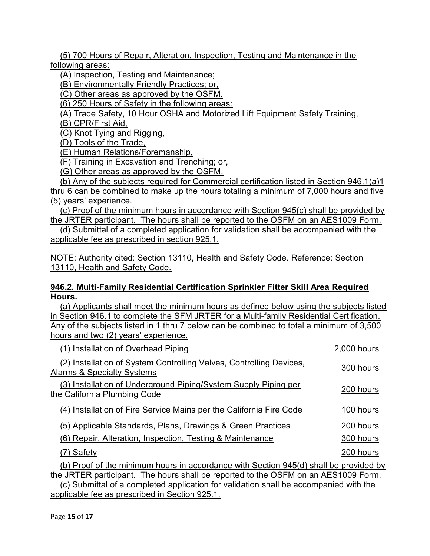(5) 700 Hours of Repair, Alteration, Inspection, Testing and Maintenance in the following areas:

(A) Inspection, Testing and Maintenance;

(B) Environmentally Friendly Practices; or,

(C) Other areas as approved by the OSFM.

(6) 250 Hours of Safety in the following areas:

(A) Trade Safety, 10 Hour OSHA and Motorized Lift Equipment Safety Training,

(B) CPR/First Aid,

(C) Knot Tying and Rigging,

(D) Tools of the Trade,

(E) Human Relations/Foremanship,

(F) Training in Excavation and Trenching; or,

(G) Other areas as approved by the OSFM.

(b) Any of the subjects required for Commercial certification listed in Section 946.1(a)1 thru 6 can be combined to make up the hours totaling a minimum of 7,000 hours and five (5) years' experience.

(c) Proof of the minimum hours in accordance with Section 945(c) shall be provided by the JRTER participant. The hours shall be reported to the OSFM on an AES1009 Form.

(d) Submittal of a completed application for validation shall be accompanied with the applicable fee as prescribed in section 925.1.

NOTE: Authority cited: Section 13110, Health and Safety Code. Reference: Section 13110, Health and Safety Code.

#### 946.2. Multi-Family Residential Certification Sprinkler Fitter Skill Area Required Hours.

(a) Applicants shall meet the minimum hours as defined below using the subjects listed in Section 946.1 to complete the SFM JRTER for a Multi-family Residential Certification. Any of the subjects listed in 1 thru 7 below can be combined to total a minimum of 3,500 hours and two (2) years' experience.

| (1) Installation of Overhead Piping                                                               | 2,000 hours |  |
|---------------------------------------------------------------------------------------------------|-------------|--|
| (2) Installation of System Controlling Valves, Controlling Devices,<br>Alarms & Specialty Systems | 300 hours   |  |
| (3) Installation of Underground Piping/System Supply Piping per<br>the California Plumbing Code   | 200 hours   |  |
| (4) Installation of Fire Service Mains per the California Fire Code                               | 100 hours   |  |
| (5) Applicable Standards, Plans, Drawings & Green Practices                                       | 200 hours   |  |
| (6) Repair, Alteration, Inspection, Testing & Maintenance                                         | 300 hours   |  |
| Safety                                                                                            | 200 hours   |  |
| (b) Proof of the minimum hours in accordance with Section 945(d) shall be provided by             |             |  |
| the JRTER participant. The hours shall be reported to the OSFM on an AES1009 Form.                |             |  |
| (c) Submittal of a completed application for validation shall be accompanied with the             |             |  |

applicable fee as prescribed in Section 925.1.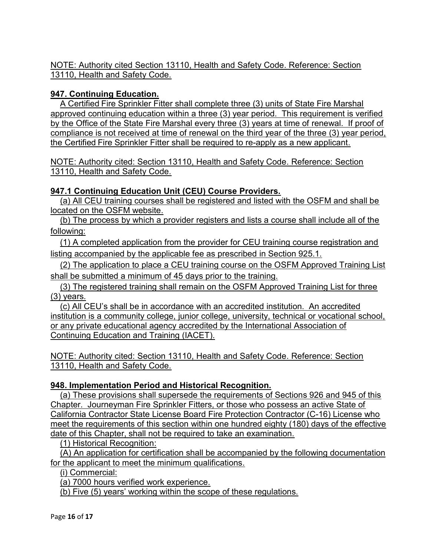## 947. Continuing Education.

A Certified Fire Sprinkler Fitter shall complete three (3) units of State Fire Marshal approved continuing education within a three (3) year period. This requirement is verified by the Office of the State Fire Marshal every three (3) years at time of renewal. If proof of compliance is not received at time of renewal on the third year of the three (3) year period, the Certified Fire Sprinkler Fitter shall be required to re-apply as a new applicant.

NOTE: Authority cited: Section 13110, Health and Safety Code. Reference: Section 13110, Health and Safety Code.

## 947.1 Continuing Education Unit (CEU) Course Providers.

(a) All CEU training courses shall be registered and listed with the OSFM and shall be located on the OSFM website.

(b) The process by which a provider registers and lists a course shall include all of the following:

(1) A completed application from the provider for CEU training course registration and listing accompanied by the applicable fee as prescribed in Section 925.1.

(2) The application to place a CEU training course on the OSFM Approved Training List shall be submitted a minimum of 45 days prior to the training.

(3) The registered training shall remain on the OSFM Approved Training List for three (3) years.

(c) All CEU's shall be in accordance with an accredited institution. An accredited institution is a community college, junior college, university, technical or vocational school, or any private educational agency accredited by the International Association of Continuing Education and Training (IACET).

NOTE: Authority cited: Section 13110, Health and Safety Code. Reference: Section 13110, Health and Safety Code.

# 948. Implementation Period and Historical Recognition.

(a) These provisions shall supersede the requirements of Sections 926 and 945 of this Chapter. Journeyman Fire Sprinkler Fitters, or those who possess an active State of California Contractor State License Board Fire Protection Contractor (C-16) License who meet the requirements of this section within one hundred eighty (180) days of the effective date of this Chapter, shall not be required to take an examination.

(1) Historical Recognition:

(A) An application for certification shall be accompanied by the following documentation for the applicant to meet the minimum qualifications.

(i) Commercial:

(a) 7000 hours verified work experience.

(b) Five (5) years' working within the scope of these regulations.